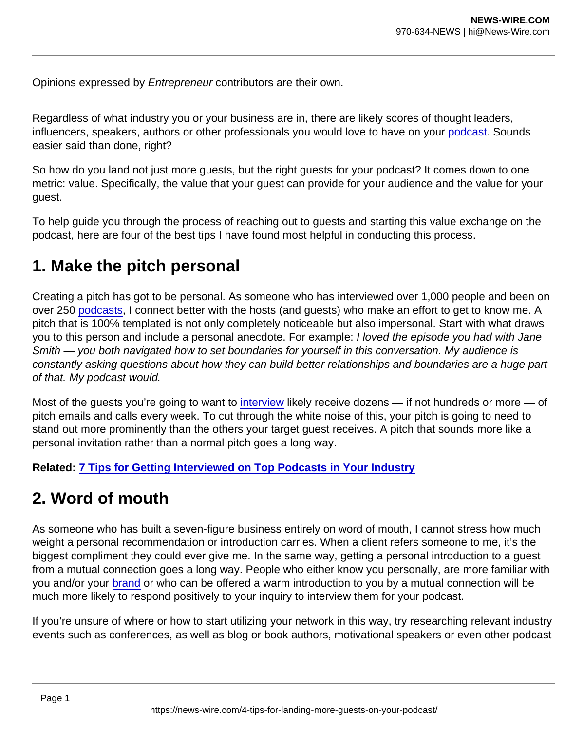Opinions expressed by Entrepreneur contributors are their own.

Regardless of what industry you or your business are in, there are likely scores of thought leaders, influencers, speakers, authors or other professionals you would love to have on your [podcast.](https://www.entrepreneur.com/topic/podcast) Sounds easier said than done, right?

So how do you land not just more guests, but the right guests for your podcast? It comes down to one metric: value. Specifically, the value that your guest can provide for your audience and the value for your guest.

To help guide you through the process of reaching out to guests and starting this value exchange on the podcast, here are four of the best tips I have found most helpful in conducting this process.

## 1. Make the pitch personal

Creating a pitch has got to be personal. As someone who has interviewed over 1,000 people and been on over 250 [podcasts](https://www.entrepreneur.com/topic/podcasts), I connect better with the hosts (and guests) who make an effort to get to know me. A pitch that is 100% templated is not only completely noticeable but also impersonal. Start with what draws you to this person and include a personal anecdote. For example: I loved the episode you had with Jane Smith — you both navigated how to set boundaries for yourself in this conversation. My audience is constantly asking questions about how they can build better relationships and boundaries are a huge part of that. My podcast would.

Most of the guests you're going to want to [interview](https://www.entrepreneur.com/topic/interview) likely receive dozens — if not hundreds or more — of pitch emails and calls every week. To cut through the white noise of this, your pitch is going to need to stand out more prominently than the others your target guest receives. A pitch that sounds more like a personal invitation rather than a normal pitch goes a long way.

Related: [7 Tips for Getting Interviewed on Top Podcasts in Your Industry](https://www.entrepreneur.com/article/279858)

## 2. Word of mouth

As someone who has built a seven-figure business entirely on word of mouth, I cannot stress how much weight a personal recommendation or introduction carries. When a client refers someone to me, it's the biggest compliment they could ever give me. In the same way, getting a personal introduction to a guest from a mutual connection goes a long way. People who either know you personally, are more familiar with you and/or your [brand](https://www.entrepreneur.com/topic/brand) or who can be offered a warm introduction to you by a mutual connection will be much more likely to respond positively to your inquiry to interview them for your podcast.

If you're unsure of where or how to start utilizing your network in this way, try researching relevant industry events such as conferences, as well as blog or book authors, motivational speakers or even other podcast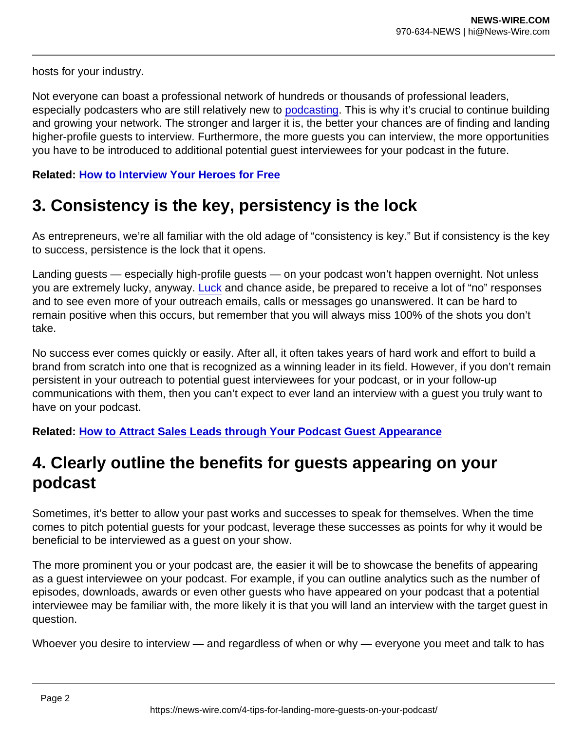hosts for your industry.

Not everyone can boast a professional network of hundreds or thousands of professional leaders, especially podcasters who are still relatively new to [podcasting](https://www.entrepreneur.com/topic/podcasting). This is why it's crucial to continue building and growing your network. The stronger and larger it is, the better your chances are of finding and landing higher-profile guests to interview. Furthermore, the more guests you can interview, the more opportunities you have to be introduced to additional potential guest interviewees for your podcast in the future.

Related: [How to Interview Your Heroes for Free](https://www.entrepreneur.com/article/275971)

## 3. Consistency is the key, persistency is the lock

As entrepreneurs, we're all familiar with the old adage of "consistency is key." But if consistency is the key to success, persistence is the lock that it opens.

Landing guests — especially high-profile guests — on your podcast won't happen overnight. Not unless you are extremely lucky, anyway. [Luck](https://www.entrepreneur.com/topic/luck) and chance aside, be prepared to receive a lot of "no" responses and to see even more of your outreach emails, calls or messages go unanswered. It can be hard to remain positive when this occurs, but remember that you will always miss 100% of the shots you don't take.

No success ever comes quickly or easily. After all, it often takes years of hard work and effort to build a brand from scratch into one that is recognized as a winning leader in its field. However, if you don't remain persistent in your outreach to potential guest interviewees for your podcast, or in your follow-up communications with them, then you can't expect to ever land an interview with a guest you truly want to have on your podcast.

Related: [How to Attract Sales Leads through Your Podcast Guest Appearance](https://www.entrepreneur.com/article/289388)

## 4. Clearly outline the benefits for guests appearing on your podcast

Sometimes, it's better to allow your past works and successes to speak for themselves. When the time comes to pitch potential guests for your podcast, leverage these successes as points for why it would be beneficial to be interviewed as a guest on your show.

The more prominent you or your podcast are, the easier it will be to showcase the benefits of appearing as a guest interviewee on your podcast. For example, if you can outline analytics such as the number of episodes, downloads, awards or even other guests who have appeared on your podcast that a potential interviewee may be familiar with, the more likely it is that you will land an interview with the target guest in question.

Whoever you desire to interview — and regardless of when or why — everyone you meet and talk to has